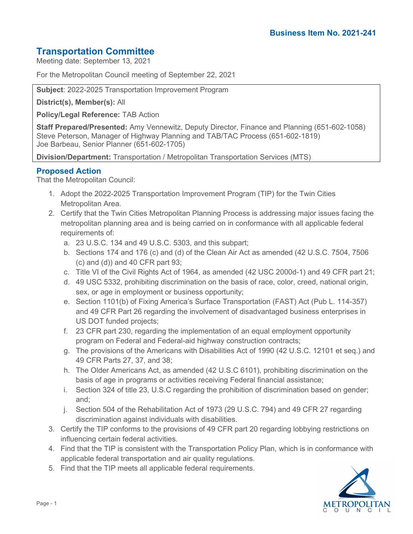# **Transportation Committee**

Meeting date: September 13, 2021

For the Metropolitan Council meeting of September 22, 2021

**Subject**: 2022-2025 Transportation Improvement Program

**District(s), Member(s):** All

**Policy/Legal Reference:** TAB Action

**Staff Prepared/Presented:** Amy Vennewitz, Deputy Director, Finance and Planning (651-602-1058) Steve Peterson, Manager of Highway Planning and TAB/TAC Process (651-602-1819) Joe Barbeau, Senior Planner (651-602-1705)

**Division/Department:** Transportation / Metropolitan Transportation Services (MTS)

# **Proposed Action**

That the Metropolitan Council:

- 1. Adopt the 2022-2025 Transportation Improvement Program (TIP) for the Twin Cities Metropolitan Area.
- 2. Certify that the Twin Cities Metropolitan Planning Process is addressing major issues facing the metropolitan planning area and is being carried on in conformance with all applicable federal requirements of:
	- a. 23 U.S.C. 134 and 49 U.S.C. 5303, and this subpart;
	- b. Sections 174 and 176 (c) and (d) of the Clean Air Act as amended (42 U.S.C. 7504, 7506  $(c)$  and  $(d)$ ) and 40 CFR part 93;
	- c. Title VI of the Civil Rights Act of 1964, as amended (42 USC 2000d-1) and 49 CFR part 21;
	- d. 49 USC 5332, prohibiting discrimination on the basis of race, color, creed, national origin, sex, or age in employment or business opportunity;
	- e. Section 1101(b) of Fixing America's Surface Transportation (FAST) Act (Pub L. 114-357) and 49 CFR Part 26 regarding the involvement of disadvantaged business enterprises in US DOT funded projects;
	- f. 23 CFR part 230, regarding the implementation of an equal employment opportunity program on Federal and Federal-aid highway construction contracts;
	- g. The provisions of the Americans with Disabilities Act of 1990 (42 U.S.C. 12101 et seq.) and 49 CFR Parts 27, 37, and 38;
	- h. The Older Americans Act, as amended (42 U.S.C 6101), prohibiting discrimination on the basis of age in programs or activities receiving Federal financial assistance;
	- i. Section 324 of title 23, U.S.C regarding the prohibition of discrimination based on gender; and;
	- j. Section 504 of the Rehabilitation Act of 1973 (29 U.S.C. 794) and 49 CFR 27 regarding discrimination against individuals with disabilities.
- 3. Certify the TIP conforms to the provisions of 49 CFR part 20 regarding lobbying restrictions on influencing certain federal activities.
- 4. Find that the TIP is consistent with the Transportation Policy Plan, which is in conformance with applicable federal transportation and air quality regulations.
- 5. Find that the TIP meets all applicable federal requirements.